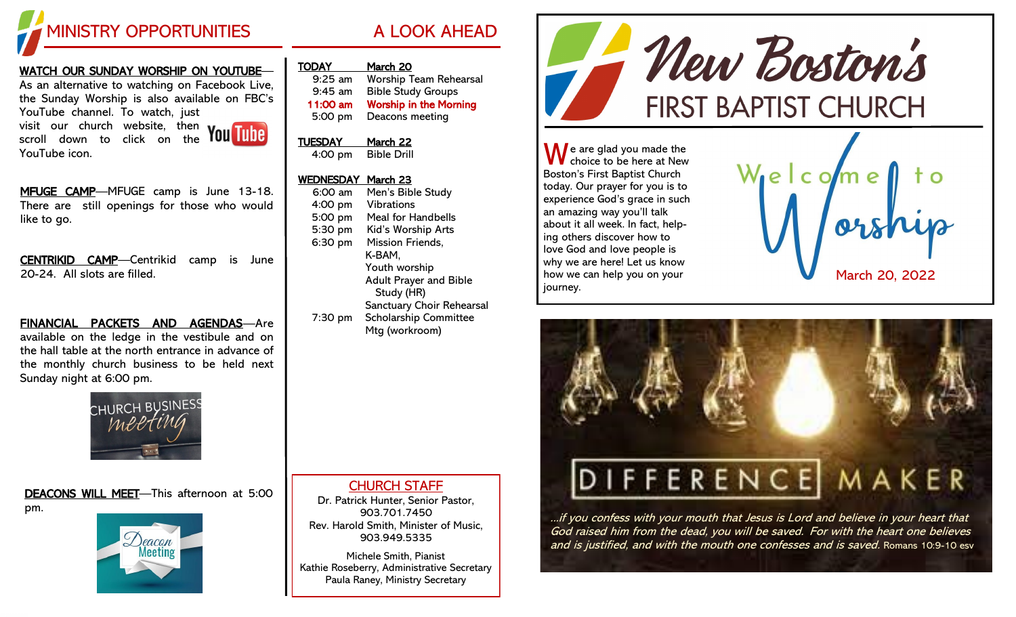

# WATCH OUR SUNDAY WORSHIP ON YOUTUBE— As an alternative to watching on Facebook Live, the Sunday Worship is also available on FBC's YouTube channel. To watch, just

visit our church website, then scroll down to click on the YouTube icon.



MFUGE CAMP—MFUGE camp is June 13-18. There are still openings for those who would like to go.

CENTRIKID CAMP—Centrikid camp is June 20-24. All slots are filled.

FINANCIAL PACKETS AND AGENDAS—Are available on the ledge in the vestibule and on the hall table at the north entrance in advance of the monthly church business to be held next Sunday night at 6:00 pm.



DEACONS WILL MEET—This afternoon at 5:00 pm.



| <b>TODAY</b> | March 20                      |
|--------------|-------------------------------|
| $9:25$ am    | <b>Worship Team Rehearsal</b> |
| $9:45$ am    | <b>Bible Study Groups</b>     |
| 11:00 am     | <b>Worship in the Morning</b> |
| 5:00 pm      | Deacons meeting               |
|              |                               |

#### TUESDAY March 22 4:00 pm Bible Drill

# WEDNESDAY March 23

| 6:00 am | Men's Bible Study             |
|---------|-------------------------------|
| 4:00 pm | <b>Vibrations</b>             |
| 5:00 pm | <b>Meal for Handbells</b>     |
| 5:30 pm | Kid's Worship Arts            |
| 6:30 pm | <b>Mission Friends,</b>       |
|         | K-BAM,                        |
|         | Youth worship                 |
|         | <b>Adult Prayer and Bible</b> |
|         | Study (HR)                    |
|         | Sanctuary Choir Rehearsal     |
| 7:30 pm | <b>Scholarship Committee</b>  |
|         | Mtg (workroom)                |
|         |                               |

Mew Boston's **FIRST BAPTIST CHURCH** 

**A** e are glad you made the choice to be here at New Boston's First Baptist Church today. Our prayer for you is to experience God's grace in such an amazing way you'll talk about it all week. In fact, helping others discover how to love God and love people is why we are here! Let us know how we can help you on your journey.





...if you confess with your mouth that Jesus is Lord and believe in your heart that God raised him from the dead, you will be saved. For with the heart one believes and is justified, and with the mouth one confesses and is saved. Romans 10:9-10 esv

CHURCH STAFF

Dr. Patrick Hunter, Senior Pastor, 903.701.7450 Rev. Harold Smith, Minister of Music, 903.949.5335

Michele Smith, Pianist Kathie Roseberry, Administrative Secretary Paula Raney, Ministry Secretary